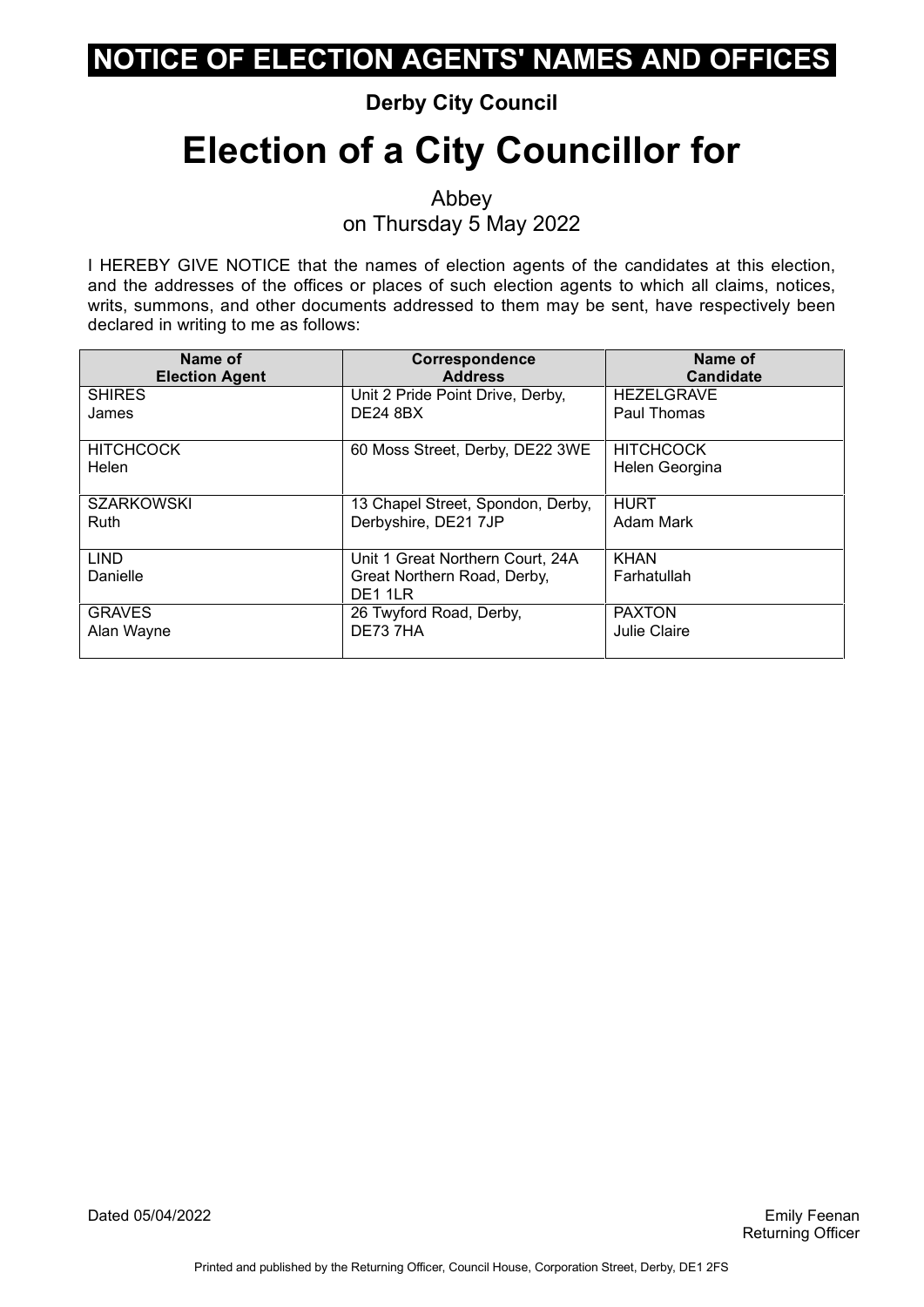#### **Derby City Council**

# **Election of a City Councillor for**

Abbey on Thursday 5 May 2022

| Name of                   | <b>Correspondence</b>                                                      | Name of                            |
|---------------------------|----------------------------------------------------------------------------|------------------------------------|
| <b>Election Agent</b>     | <b>Address</b>                                                             | <b>Candidate</b>                   |
| <b>SHIRES</b>             | Unit 2 Pride Point Drive, Derby,                                           | <b>HEZELGRAVE</b>                  |
| James                     | <b>DE24 8BX</b>                                                            | Paul Thomas                        |
| <b>HITCHCOCK</b><br>Helen | 60 Moss Street, Derby, DE22 3WE                                            | <b>HITCHCOCK</b><br>Helen Georgina |
| <b>SZARKOWSKI</b>         | 13 Chapel Street, Spondon, Derby,                                          | <b>HURT</b>                        |
| Ruth                      | Derbyshire, DE21 7JP                                                       | Adam Mark                          |
| <b>LIND</b><br>Danielle   | Unit 1 Great Northern Court, 24A<br>Great Northern Road, Derby,<br>DE1 1LR | <b>KHAN</b><br>Farhatullah         |
| <b>GRAVES</b>             | 26 Twyford Road, Derby,                                                    | <b>PAXTON</b>                      |
| Alan Wayne                | DE73 7HA                                                                   | Julie Claire                       |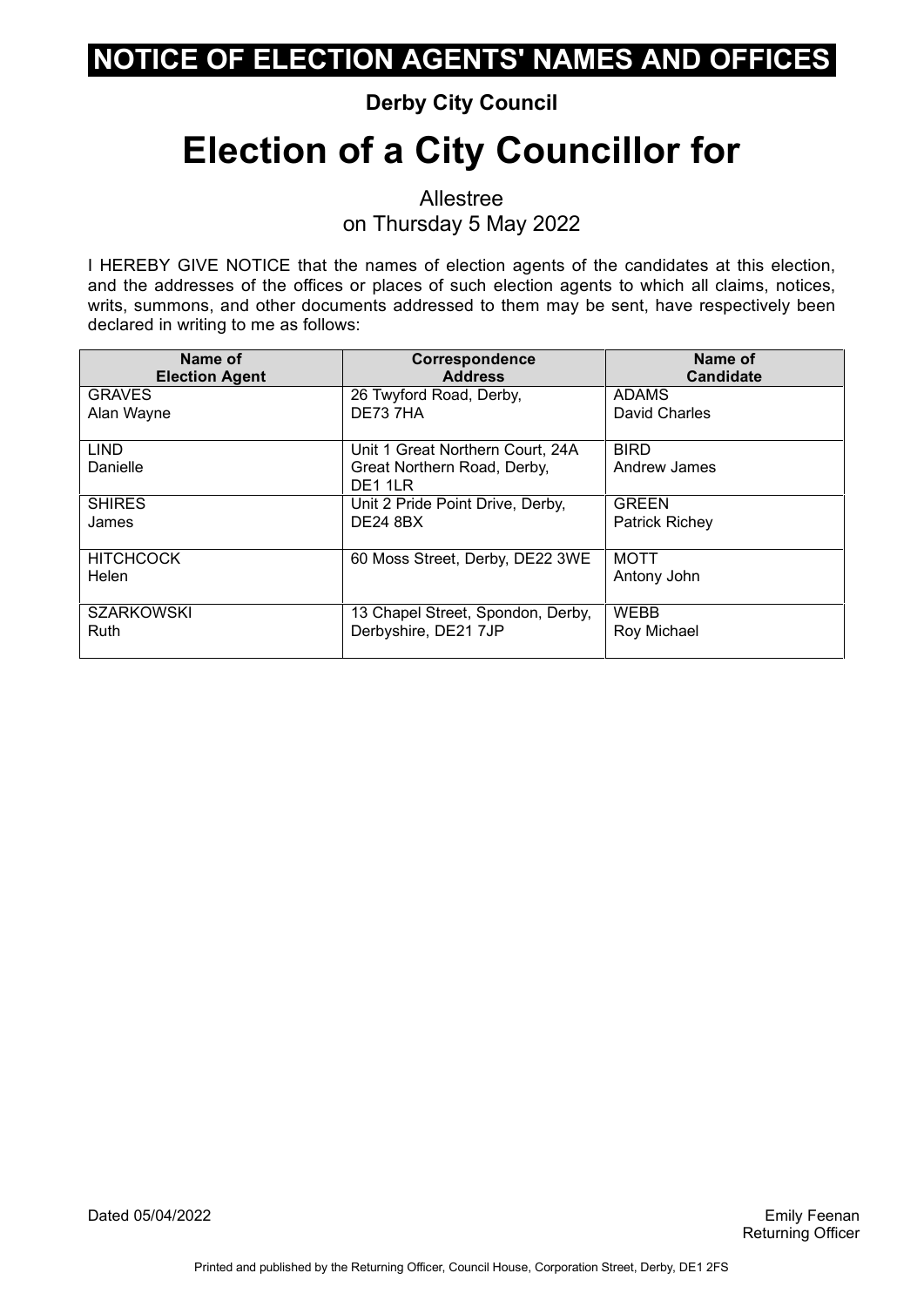#### **Derby City Council**

# **Election of a City Councillor for**

Allestree on Thursday 5 May 2022

I HEREBY GIVE NOTICE that the names of election agents of the candidates at this election, and the addresses of the offices or places of such election agents to which all claims, notices, writs, summons, and other documents addressed to them may be sent, have respectively been declared in writing to me as follows:

| Name of                   | Correspondence                                                             | Name of                     |
|---------------------------|----------------------------------------------------------------------------|-----------------------------|
| <b>Election Agent</b>     | <b>Address</b>                                                             | <b>Candidate</b>            |
| <b>GRAVES</b>             | 26 Twyford Road, Derby,                                                    | <b>ADAMS</b>                |
| Alan Wayne                | DE73 7HA                                                                   | David Charles               |
| <b>LIND</b><br>Danielle   | Unit 1 Great Northern Court, 24A<br>Great Northern Road, Derby,<br>DE1 1LR | <b>BIRD</b><br>Andrew James |
| <b>SHIRES</b>             | Unit 2 Pride Point Drive, Derby,                                           | <b>GREEN</b>                |
| James                     | <b>DE24 8BX</b>                                                            | <b>Patrick Richey</b>       |
| <b>HITCHCOCK</b><br>Helen | 60 Moss Street, Derby, DE22 3WE                                            | <b>MOTT</b><br>Antony John  |
| <b>SZARKOWSKI</b>         | 13 Chapel Street, Spondon, Derby,                                          | <b>WEBB</b>                 |
| <b>Ruth</b>               | Derbyshire, DE21 7JP                                                       | Roy Michael                 |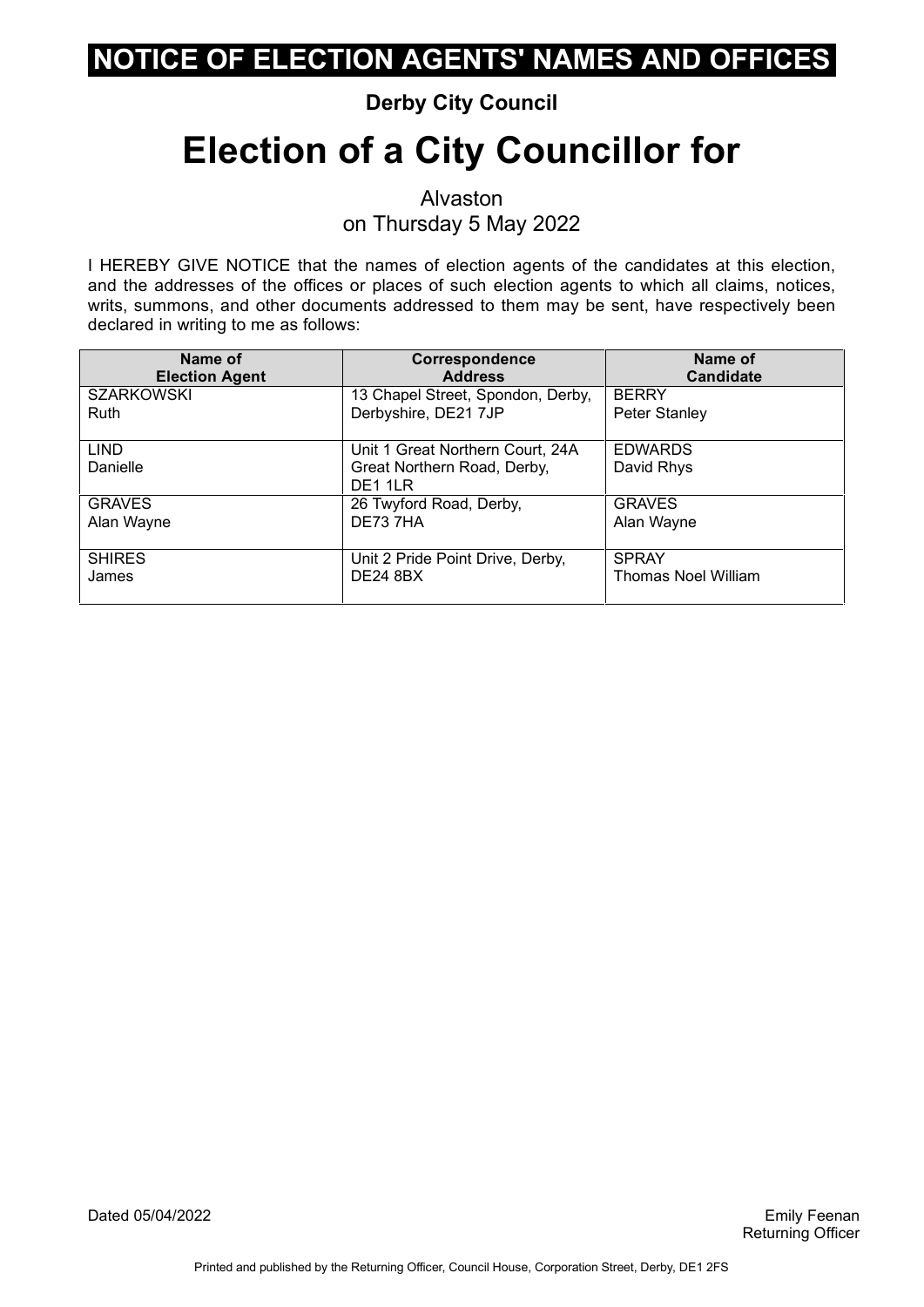#### **Derby City Council**

# **Election of a City Councillor for**

Alvaston on Thursday 5 May 2022

| Name of                 | Correspondence                                                             | Name of                      |
|-------------------------|----------------------------------------------------------------------------|------------------------------|
| <b>Election Agent</b>   | <b>Address</b>                                                             | <b>Candidate</b>             |
| <b>SZARKOWSKI</b>       | 13 Chapel Street, Spondon, Derby,                                          | <b>BERRY</b>                 |
| Ruth                    | Derbyshire, DE21 7JP                                                       | Peter Stanley                |
| <b>LIND</b><br>Danielle | Unit 1 Great Northern Court, 24A<br>Great Northern Road, Derby,<br>DE1 1LR | <b>EDWARDS</b><br>David Rhys |
| <b>GRAVES</b>           | 26 Twyford Road, Derby,                                                    | <b>GRAVES</b>                |
| Alan Wayne              | DE737HA                                                                    | Alan Wayne                   |
| <b>SHIRES</b>           | Unit 2 Pride Point Drive, Derby,                                           | <b>SPRAY</b>                 |
| James                   | <b>DE24 8BX</b>                                                            | Thomas Noel William          |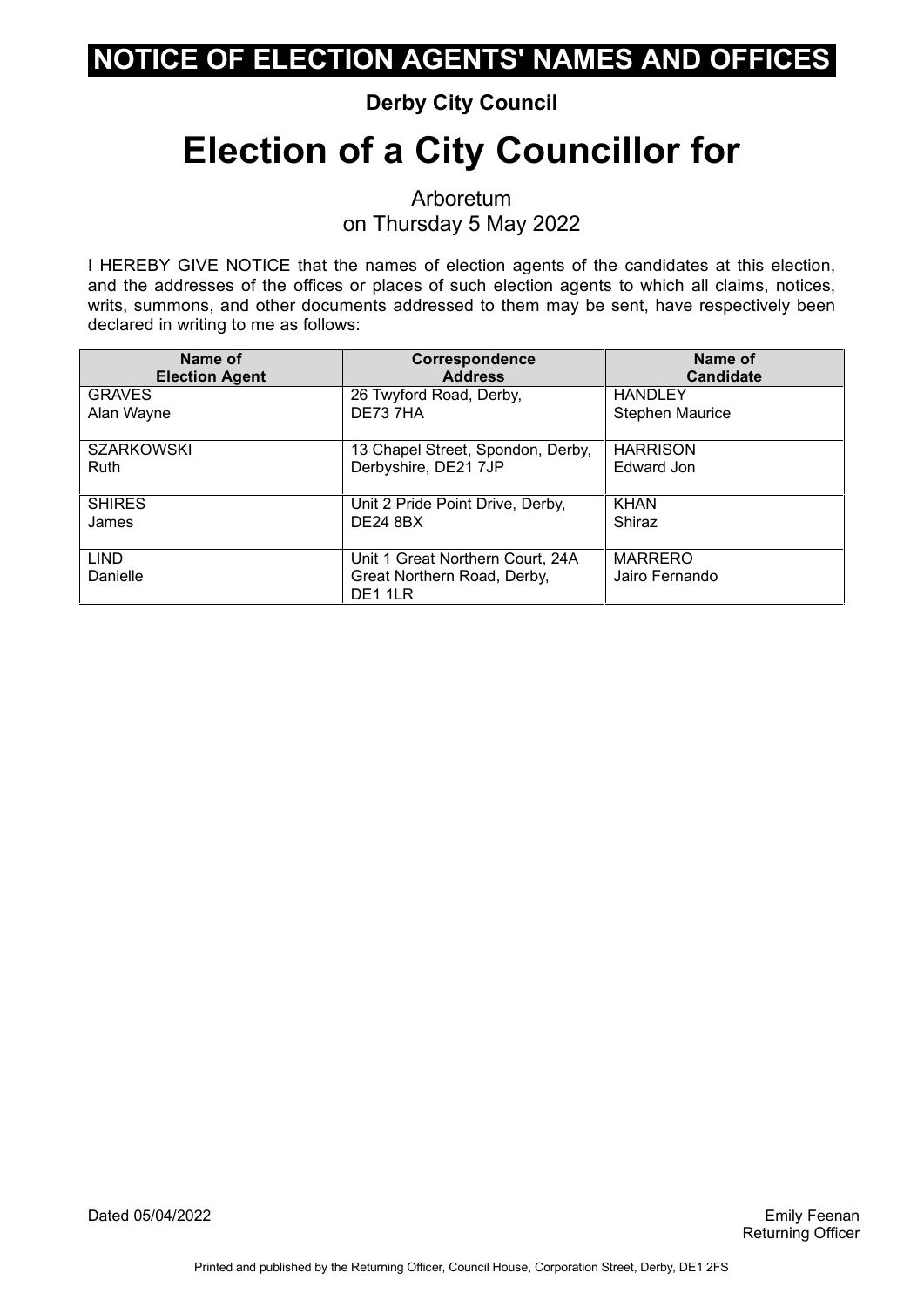#### **Derby City Council**

# **Election of a City Councillor for**

Arboretum on Thursday 5 May 2022

I HEREBY GIVE NOTICE that the names of election agents of the candidates at this election, and the addresses of the offices or places of such election agents to which all claims, notices, writs, summons, and other documents addressed to them may be sent, have respectively been declared in writing to me as follows:

| Name of                 | <b>Correspondence</b>                                                      | Name of                          |
|-------------------------|----------------------------------------------------------------------------|----------------------------------|
| <b>Election Agent</b>   | <b>Address</b>                                                             | <b>Candidate</b>                 |
| <b>GRAVES</b>           | 26 Twyford Road, Derby,                                                    | <b>HANDLEY</b>                   |
| Alan Wayne              | DE737HA                                                                    | <b>Stephen Maurice</b>           |
| <b>SZARKOWSKI</b>       | 13 Chapel Street, Spondon, Derby,                                          | <b>HARRISON</b>                  |
| Ruth                    | Derbyshire, DE21 7JP                                                       | Edward Jon                       |
| <b>SHIRES</b>           | Unit 2 Pride Point Drive, Derby,                                           | <b>KHAN</b>                      |
| James                   | <b>DE24 8BX</b>                                                            | Shiraz                           |
| <b>LIND</b><br>Danielle | Unit 1 Great Northern Court, 24A<br>Great Northern Road, Derby,<br>DE1 1LR | <b>MARRERO</b><br>Jairo Fernando |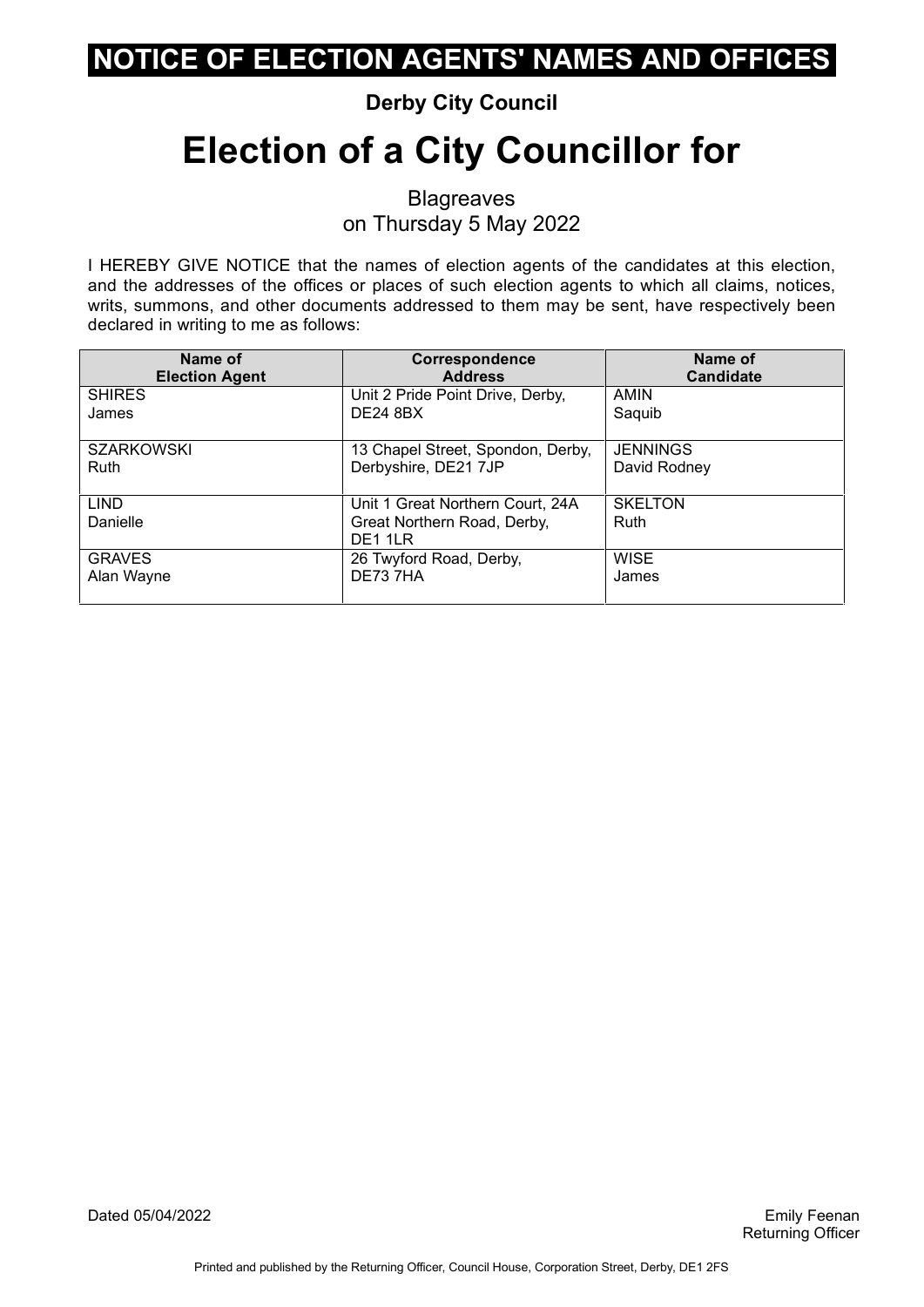#### **Derby City Council**

# **Election of a City Councillor for**

**Blagreaves** on Thursday 5 May 2022

I HEREBY GIVE NOTICE that the names of election agents of the candidates at this election, and the addresses of the offices or places of such election agents to which all claims, notices, writs, summons, and other documents addressed to them may be sent, have respectively been declared in writing to me as follows:

| Name of                 | Correspondence                                                             | Name of                |
|-------------------------|----------------------------------------------------------------------------|------------------------|
| <b>Election Agent</b>   | <b>Address</b>                                                             | <b>Candidate</b>       |
| <b>SHIRES</b>           | Unit 2 Pride Point Drive, Derby,                                           | <b>AMIN</b>            |
| James                   | <b>DE24 8BX</b>                                                            | Saquib                 |
| <b>SZARKOWSKI</b>       | 13 Chapel Street, Spondon, Derby,                                          | <b>JENNINGS</b>        |
| <b>Ruth</b>             | Derbyshire, DE21 7JP                                                       | David Rodney           |
| <b>LIND</b><br>Danielle | Unit 1 Great Northern Court, 24A<br>Great Northern Road, Derby,<br>DE1 1LR | <b>SKELTON</b><br>Ruth |
| <b>GRAVES</b>           | 26 Twyford Road, Derby,                                                    | <b>WISE</b>            |
| Alan Wayne              | DE73 7HA                                                                   | James                  |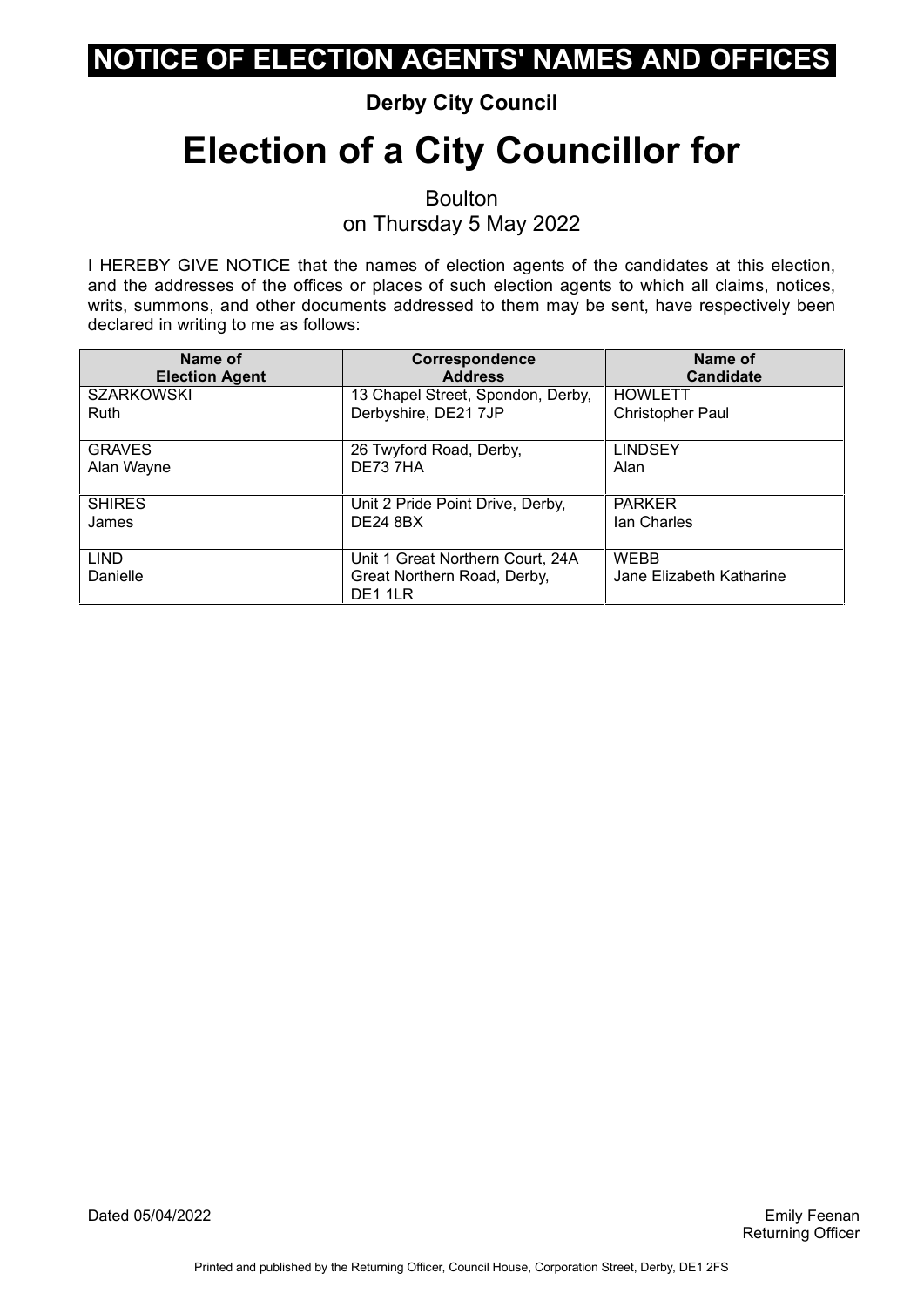#### **Derby City Council**

## **Election of a City Councillor for**

Boulton on Thursday 5 May 2022

I HEREBY GIVE NOTICE that the names of election agents of the candidates at this election, and the addresses of the offices or places of such election agents to which all claims, notices, writs, summons, and other documents addressed to them may be sent, have respectively been declared in writing to me as follows:

| Name of                 | Correspondence                                                             | Name of                                 |
|-------------------------|----------------------------------------------------------------------------|-----------------------------------------|
| <b>Election Agent</b>   | <b>Address</b>                                                             | <b>Candidate</b>                        |
| <b>SZARKOWSKI</b>       | 13 Chapel Street, Spondon, Derby,                                          | <b>HOWLETT</b>                          |
| <b>Ruth</b>             | Derbyshire, DE21 7JP                                                       | Christopher Paul                        |
| <b>GRAVES</b>           | 26 Twyford Road, Derby,                                                    | <b>LINDSEY</b>                          |
| Alan Wayne              | DE737HA                                                                    | Alan                                    |
| <b>SHIRES</b>           | Unit 2 Pride Point Drive, Derby,                                           | <b>PARKER</b>                           |
| James                   | <b>DE24 8BX</b>                                                            | lan Charles                             |
| <b>LIND</b><br>Danielle | Unit 1 Great Northern Court, 24A<br>Great Northern Road, Derby,<br>DE1 1LR | <b>WEBB</b><br>Jane Elizabeth Katharine |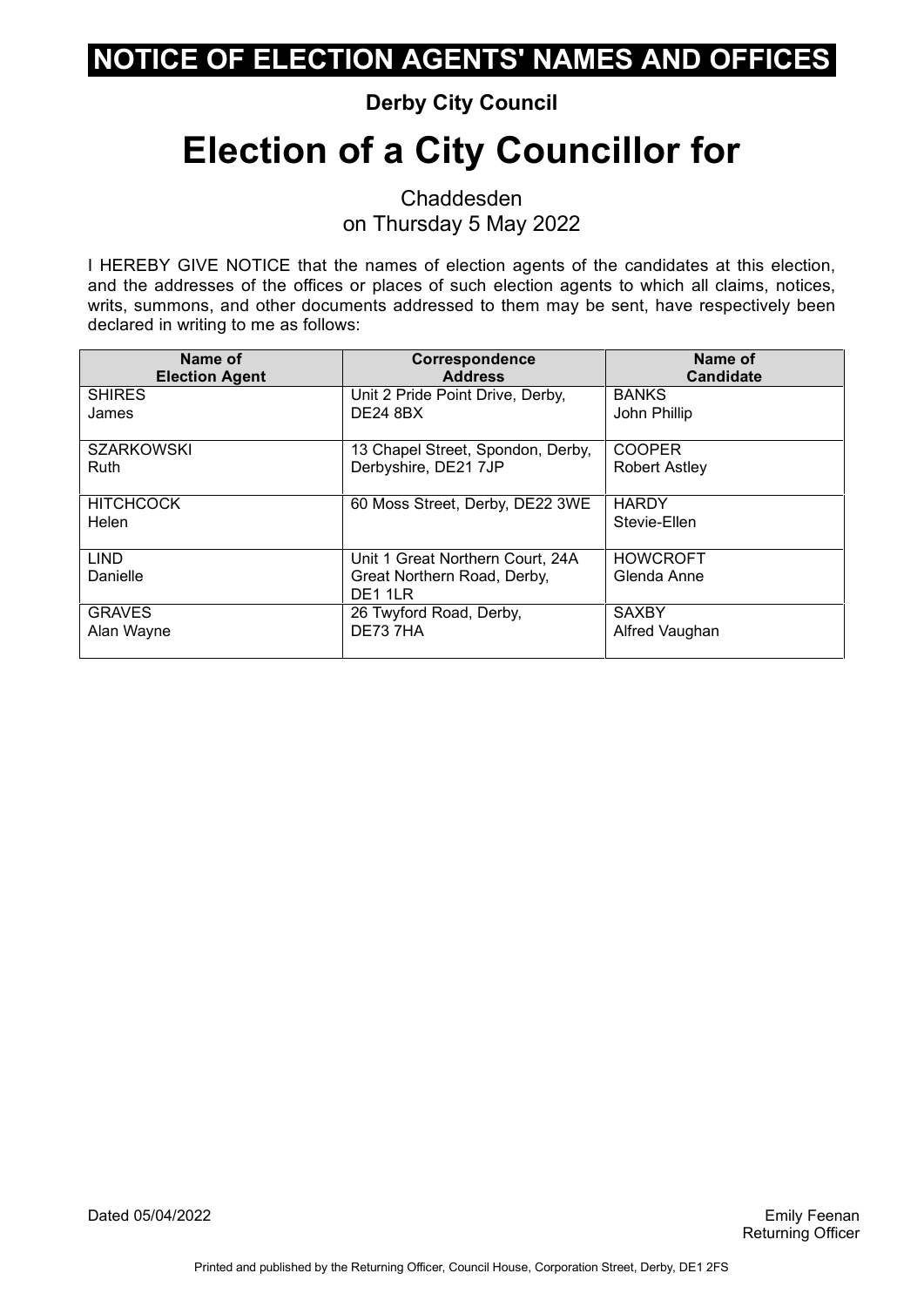#### **Derby City Council**

# **Election of a City Councillor for**

Chaddesden on Thursday 5 May 2022

| Name of                   | Correspondence                                                             | Name of                        |
|---------------------------|----------------------------------------------------------------------------|--------------------------------|
| <b>Election Agent</b>     | <b>Address</b>                                                             | <b>Candidate</b>               |
| <b>SHIRES</b>             | Unit 2 Pride Point Drive, Derby,                                           | <b>BANKS</b>                   |
| James                     | <b>DE24 8BX</b>                                                            | John Phillip                   |
| <b>SZARKOWSKI</b>         | 13 Chapel Street, Spondon, Derby,                                          | <b>COOPER</b>                  |
| <b>Ruth</b>               | Derbyshire, DE21 7JP                                                       | <b>Robert Astley</b>           |
| <b>HITCHCOCK</b><br>Helen | 60 Moss Street, Derby, DE22 3WE                                            | <b>HARDY</b><br>Stevie-Ellen   |
| <b>LIND</b><br>Danielle   | Unit 1 Great Northern Court, 24A<br>Great Northern Road, Derby,<br>DE1 1LR | <b>HOWCROFT</b><br>Glenda Anne |
| <b>GRAVES</b>             | 26 Twyford Road, Derby,                                                    | <b>SAXBY</b>                   |
| Alan Wayne                | DE73 7HA                                                                   | Alfred Vaughan                 |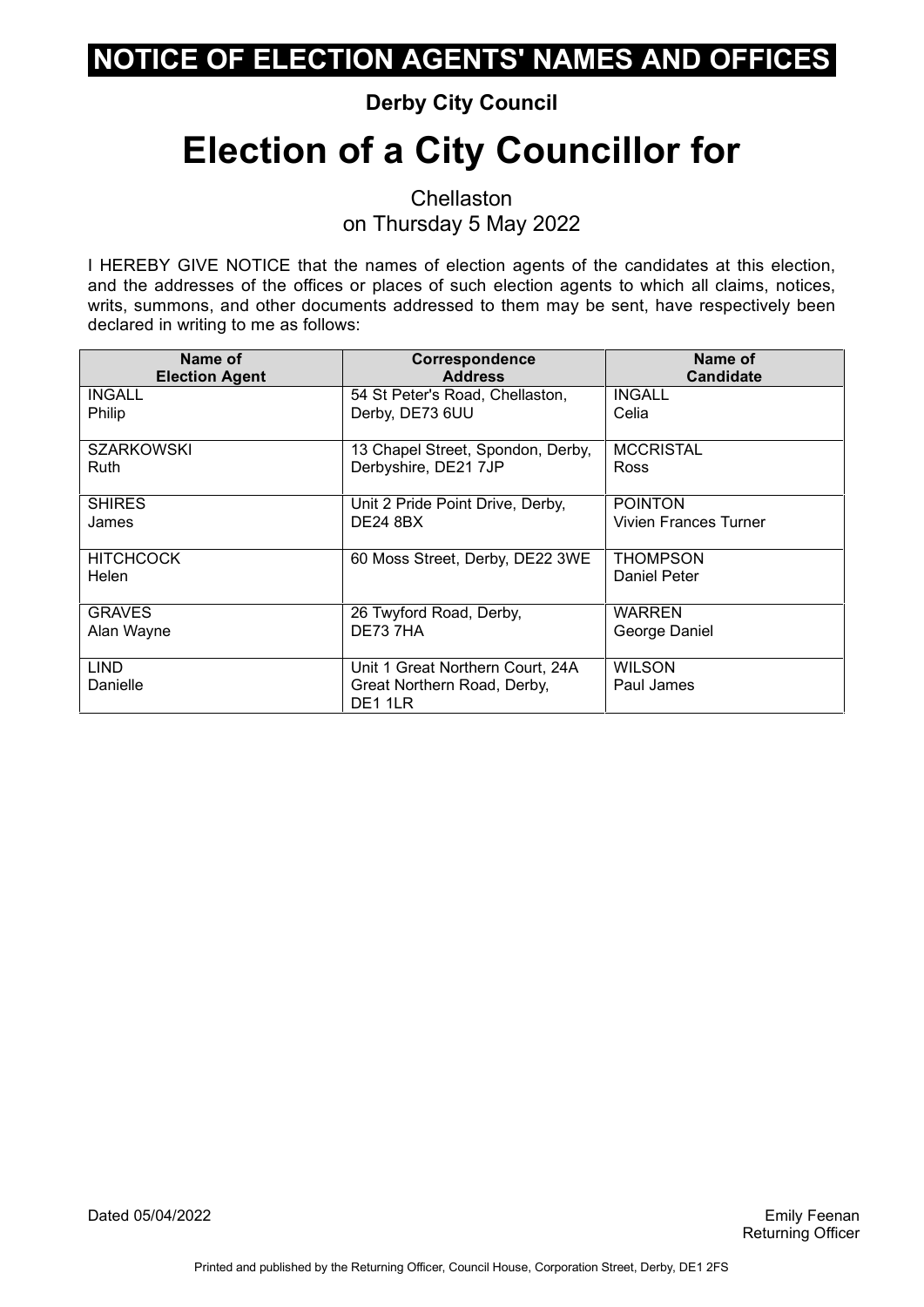#### **Derby City Council**

# **Election of a City Councillor for**

**Chellaston** on Thursday 5 May 2022

| Name of                   | Correspondence                                                             | Name of                     |
|---------------------------|----------------------------------------------------------------------------|-----------------------------|
| <b>Election Agent</b>     | <b>Address</b>                                                             | <b>Candidate</b>            |
| <b>INGALL</b>             | 54 St Peter's Road, Chellaston,                                            | <b>INGALL</b>               |
| Philip                    | Derby, DE73 6UU                                                            | Celia                       |
| <b>SZARKOWSKI</b>         | 13 Chapel Street, Spondon, Derby,                                          | <b>MCCRISTAL</b>            |
| Ruth                      | Derbyshire, DE21 7JP                                                       | <b>Ross</b>                 |
| <b>SHIRES</b>             | Unit 2 Pride Point Drive, Derby,                                           | <b>POINTON</b>              |
| James                     | <b>DE24 8BX</b>                                                            | Vivien Frances Turner       |
| <b>HITCHCOCK</b><br>Helen | 60 Moss Street, Derby, DE22 3WE                                            | THOMPSON<br>Daniel Peter    |
| <b>GRAVES</b>             | 26 Twyford Road, Derby,                                                    | <b>WARREN</b>               |
| Alan Wayne                | DE73 7HA                                                                   | George Daniel               |
| <b>LIND</b><br>Danielle   | Unit 1 Great Northern Court, 24A<br>Great Northern Road, Derby,<br>DE1 1LR | <b>WILSON</b><br>Paul James |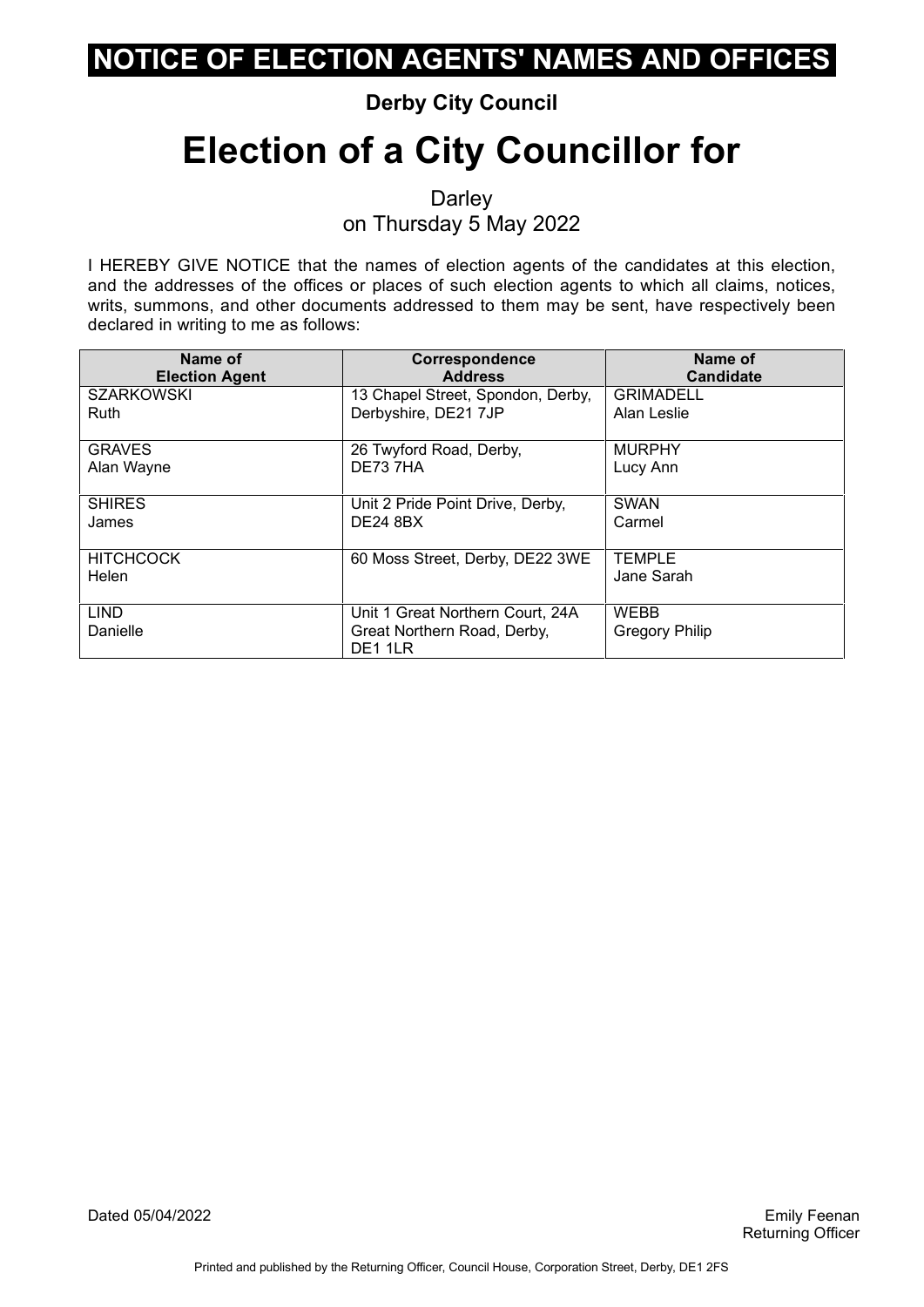#### **Derby City Council**

# **Election of a City Councillor for**

**Darley** on Thursday 5 May 2022

| Name of                   | Correspondence                                                             | Name of                              |
|---------------------------|----------------------------------------------------------------------------|--------------------------------------|
| <b>Election Agent</b>     | <b>Address</b>                                                             | <b>Candidate</b>                     |
| <b>SZARKOWSKI</b>         | 13 Chapel Street, Spondon, Derby,                                          | <b>GRIMADELL</b>                     |
| Ruth                      | Derbyshire, DE21 7JP                                                       | Alan Leslie                          |
| <b>GRAVES</b>             | 26 Twyford Road, Derby,                                                    | <b>MURPHY</b>                        |
| Alan Wayne                | DE73 7HA                                                                   | Lucy Ann                             |
| <b>SHIRES</b>             | Unit 2 Pride Point Drive, Derby,                                           | <b>SWAN</b>                          |
| James                     | <b>DE24 8BX</b>                                                            | Carmel                               |
| <b>HITCHCOCK</b><br>Helen | 60 Moss Street, Derby, DE22 3WE                                            | TEMPLE<br>Jane Sarah                 |
| <b>LIND</b><br>Danielle   | Unit 1 Great Northern Court, 24A<br>Great Northern Road, Derby,<br>DE1 1LR | <b>WEBB</b><br><b>Gregory Philip</b> |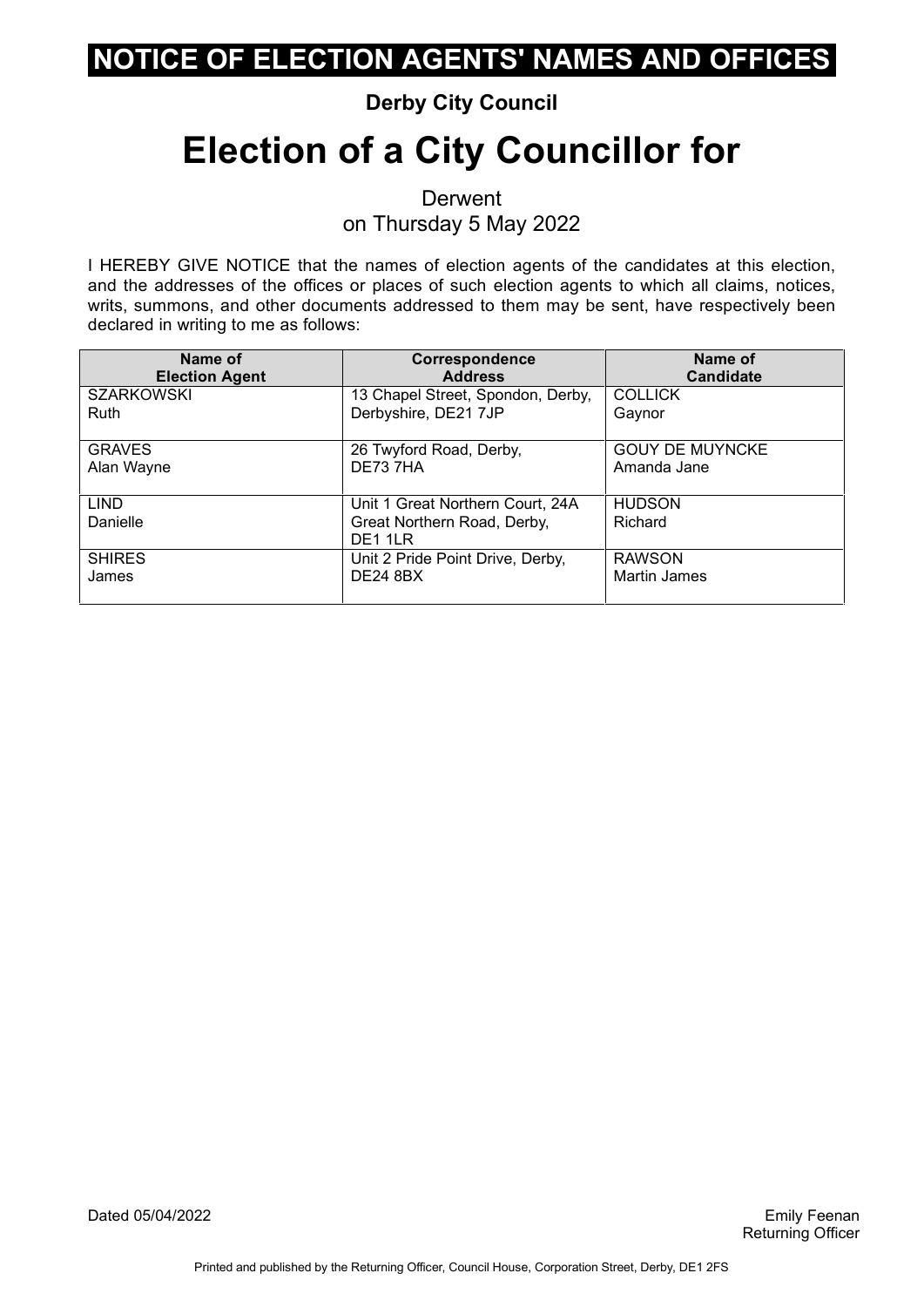#### **Derby City Council**

# **Election of a City Councillor for**

**Derwent** on Thursday 5 May 2022

| Name of<br><b>Election Agent</b> | Correspondence<br><b>Address</b>                          | Name of<br><b>Candidate</b>           |
|----------------------------------|-----------------------------------------------------------|---------------------------------------|
| <b>SZARKOWSKI</b><br>Ruth        | 13 Chapel Street, Spondon, Derby,<br>Derbyshire, DE21 7JP | <b>COLLICK</b><br>Gaynor              |
| <b>GRAVES</b><br>Alan Wayne      | 26 Twyford Road, Derby,<br>DE73 7HA                       | <b>GOUY DE MUYNCKE</b><br>Amanda Jane |
| <b>LIND</b>                      | Unit 1 Great Northern Court, 24A                          | <b>HUDSON</b>                         |
| Danielle                         | Great Northern Road, Derby,<br>DE1 1LR                    | Richard                               |
| <b>SHIRES</b>                    | Unit 2 Pride Point Drive, Derby,                          | <b>RAWSON</b>                         |
| James                            | <b>DE24 8BX</b>                                           | <b>Martin James</b>                   |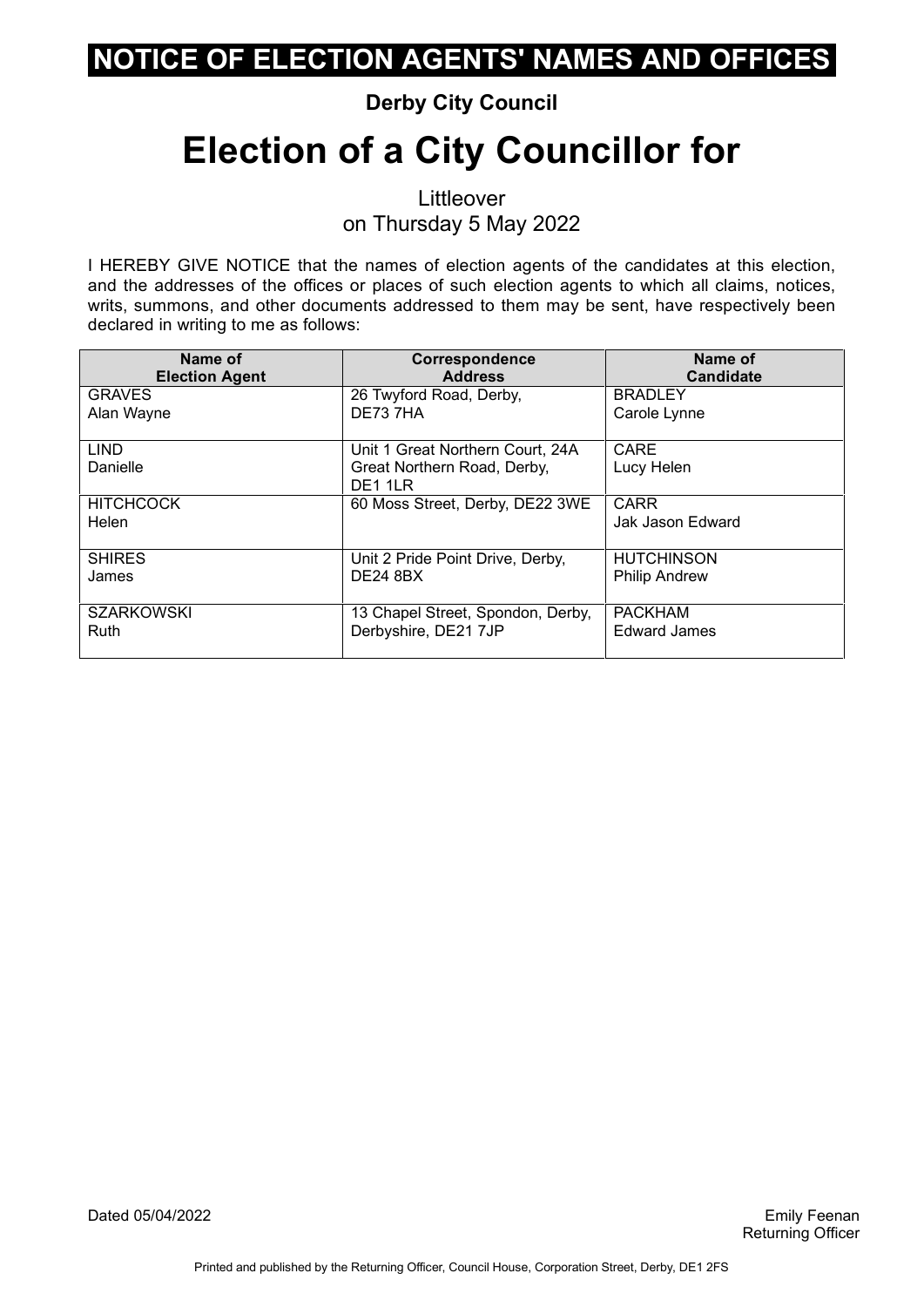#### **Derby City Council**

# **Election of a City Councillor for**

Littleover on Thursday 5 May 2022

I HEREBY GIVE NOTICE that the names of election agents of the candidates at this election, and the addresses of the offices or places of such election agents to which all claims, notices, writs, summons, and other documents addressed to them may be sent, have respectively been declared in writing to me as follows:

| Name of                   | <b>Correspondence</b>                                                      | Name of                         |
|---------------------------|----------------------------------------------------------------------------|---------------------------------|
| <b>Election Agent</b>     | <b>Address</b>                                                             | <b>Candidate</b>                |
| <b>GRAVES</b>             | 26 Twyford Road, Derby,                                                    | <b>BRADLEY</b>                  |
| Alan Wayne                | DE73 7HA                                                                   | Carole Lynne                    |
| <b>LIND</b><br>Danielle   | Unit 1 Great Northern Court, 24A<br>Great Northern Road, Derby,<br>DE1 1LR | CARE<br>Lucy Helen              |
| <b>HITCHCOCK</b><br>Helen | 60 Moss Street, Derby, DE22 3WE                                            | <b>CARR</b><br>Jak Jason Edward |
| <b>SHIRES</b>             | Unit 2 Pride Point Drive, Derby,                                           | <b>HUTCHINSON</b>               |
| James                     | <b>DE24 8BX</b>                                                            | <b>Philip Andrew</b>            |
| <b>SZARKOWSKI</b>         | 13 Chapel Street, Spondon, Derby,                                          | <b>PACKHAM</b>                  |
| <b>Ruth</b>               | Derbyshire, DE21 7JP                                                       | <b>Edward James</b>             |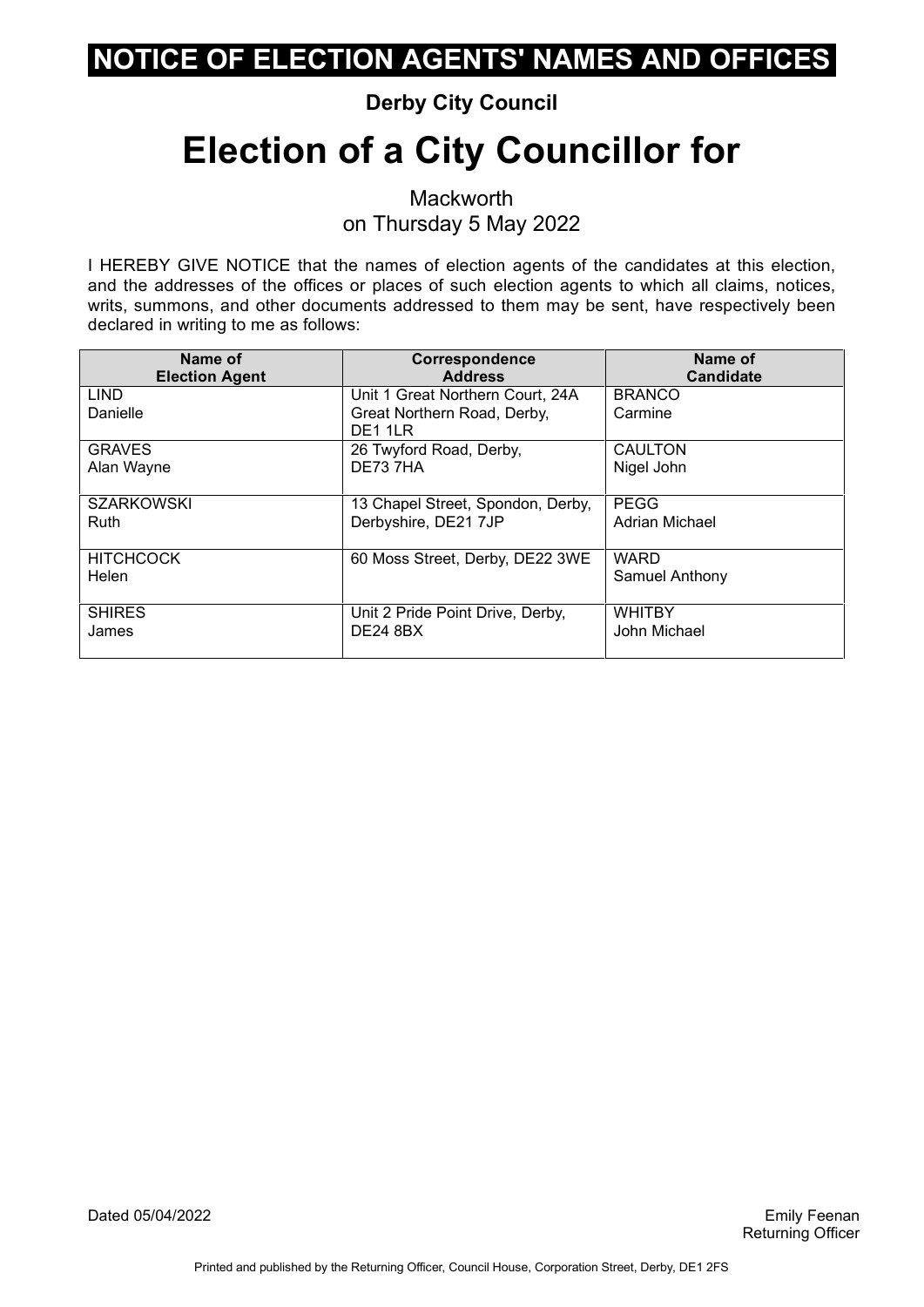#### **Derby City Council**

# **Election of a City Councillor for**

**Mackworth** on Thursday 5 May 2022

I HEREBY GIVE NOTICE that the names of election agents of the candidates at this election, and the addresses of the offices or places of such election agents to which all claims, notices, writs, summons, and other documents addressed to them may be sent, have respectively been declared in writing to me as follows:

| Name of                   | Correspondence                                                             | Name of                       |
|---------------------------|----------------------------------------------------------------------------|-------------------------------|
| <b>Election Agent</b>     | <b>Address</b>                                                             | <b>Candidate</b>              |
| <b>LIND</b><br>Danielle   | Unit 1 Great Northern Court, 24A<br>Great Northern Road, Derby,<br>DE1 1LR | <b>BRANCO</b><br>Carmine      |
| <b>GRAVES</b>             | 26 Twyford Road, Derby,                                                    | <b>CAULTON</b>                |
| Alan Wayne                | DE73 7HA                                                                   | Nigel John                    |
| <b>SZARKOWSKI</b>         | 13 Chapel Street, Spondon, Derby,                                          | <b>PEGG</b>                   |
| Ruth                      | Derbyshire, DE21 7JP                                                       | <b>Adrian Michael</b>         |
| <b>HITCHCOCK</b><br>Helen | 60 Moss Street, Derby, DE22 3WE                                            | <b>WARD</b><br>Samuel Anthony |
| <b>SHIRES</b>             | Unit 2 Pride Point Drive, Derby,                                           | <b>WHITBY</b>                 |
| James                     | <b>DE24 8BX</b>                                                            | John Michael                  |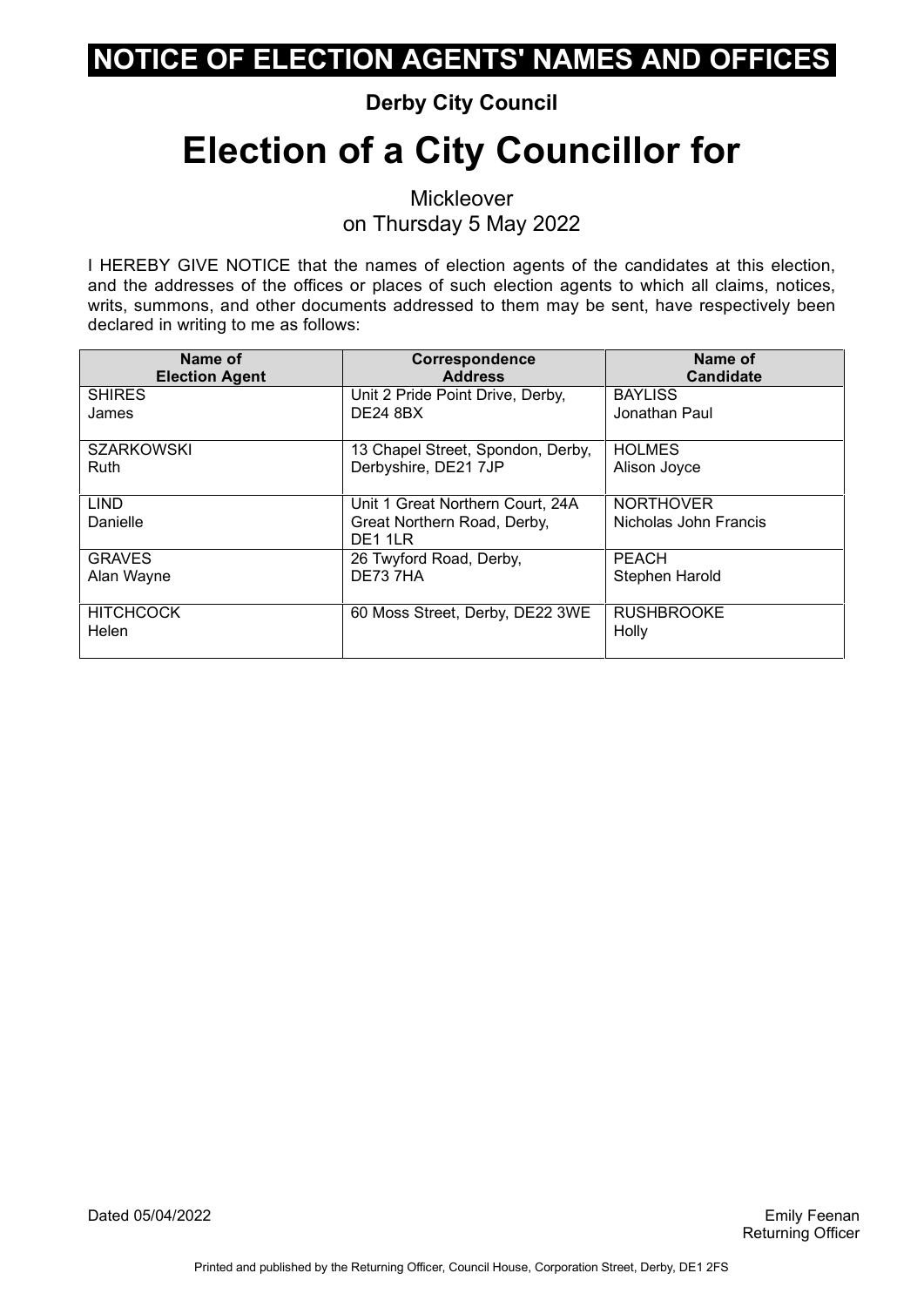#### **Derby City Council**

# **Election of a City Councillor for**

**Mickleover** on Thursday 5 May 2022

| Name of                   | <b>Correspondence</b>                                                      | Name of                                   |
|---------------------------|----------------------------------------------------------------------------|-------------------------------------------|
| <b>Election Agent</b>     | <b>Address</b>                                                             | <b>Candidate</b>                          |
| <b>SHIRES</b>             | Unit 2 Pride Point Drive, Derby,                                           | <b>BAYLISS</b>                            |
| James                     | <b>DE24 8BX</b>                                                            | Jonathan Paul.                            |
| <b>SZARKOWSKI</b>         | 13 Chapel Street, Spondon, Derby,                                          | <b>HOLMES</b>                             |
| Ruth                      | Derbyshire, DE21 7JP                                                       | Alison Joyce                              |
| <b>LIND</b><br>Danielle   | Unit 1 Great Northern Court, 24A<br>Great Northern Road, Derby,<br>DE1 1LR | <b>NORTHOVER</b><br>Nicholas John Francis |
| <b>GRAVES</b>             | 26 Twyford Road, Derby,                                                    | <b>PEACH</b>                              |
| Alan Wayne                | DE737HA                                                                    | Stephen Harold                            |
| <b>HITCHCOCK</b><br>Helen | 60 Moss Street, Derby, DE22 3WE                                            | <b>RUSHBROOKE</b><br>Holly                |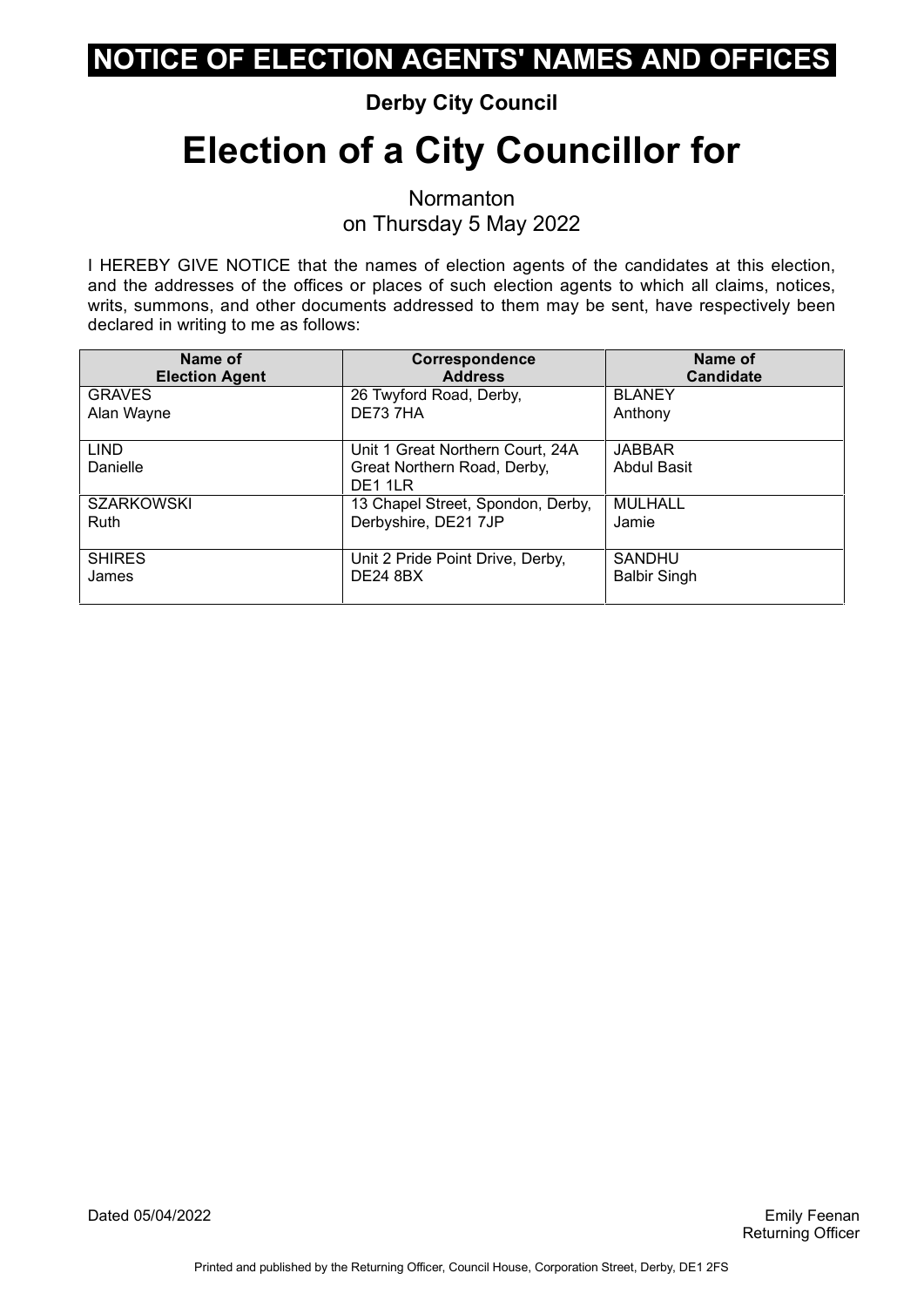#### **Derby City Council**

# **Election of a City Councillor for**

**Normanton** on Thursday 5 May 2022

| Name of                 | <b>Correspondence</b>                                                      | Name of                      |
|-------------------------|----------------------------------------------------------------------------|------------------------------|
| <b>Election Agent</b>   | <b>Address</b>                                                             | <b>Candidate</b>             |
| <b>GRAVES</b>           | 26 Twyford Road, Derby,                                                    | <b>BLANEY</b>                |
| Alan Wayne              | DE73 7HA                                                                   | Anthony                      |
| <b>LIND</b><br>Danielle | Unit 1 Great Northern Court, 24A<br>Great Northern Road, Derby,<br>DE1 1LR | <b>JABBAR</b><br>Abdul Basit |
| <b>SZARKOWSKI</b>       | 13 Chapel Street, Spondon, Derby,                                          | <b>MULHALL</b>               |
| Ruth                    | Derbyshire, DE21 7JP                                                       | Jamie                        |
| <b>SHIRES</b>           | Unit 2 Pride Point Drive, Derby,                                           | <b>SANDHU</b>                |
| James                   | <b>DE24 8BX</b>                                                            | <b>Balbir Singh</b>          |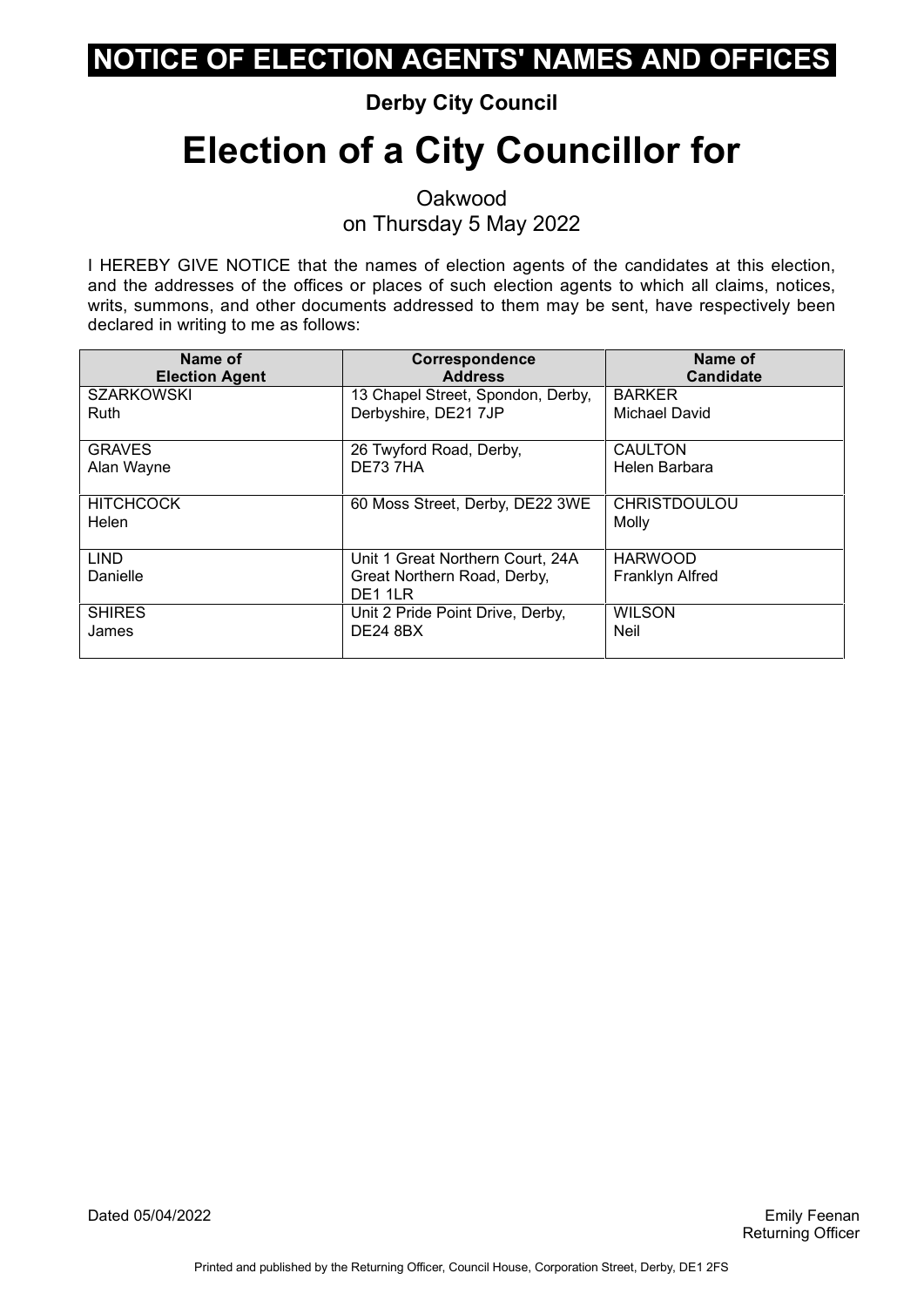#### **Derby City Council**

# **Election of a City Councillor for**

Oakwood on Thursday 5 May 2022

| Name of                   | Correspondence                                                             | Name of                           |
|---------------------------|----------------------------------------------------------------------------|-----------------------------------|
| <b>Election Agent</b>     | <b>Address</b>                                                             | <b>Candidate</b>                  |
| <b>SZARKOWSKI</b>         | 13 Chapel Street, Spondon, Derby,                                          | <b>BARKER</b>                     |
| Ruth                      | Derbyshire, DE21 7JP                                                       | Michael David                     |
| <b>GRAVES</b>             | 26 Twyford Road, Derby,                                                    | <b>CAULTON</b>                    |
| Alan Wayne                | DE73 7HA                                                                   | Helen Barbara                     |
| <b>HITCHCOCK</b><br>Helen | 60 Moss Street, Derby, DE22 3WE                                            | <b>CHRISTDOULOU</b><br>Molly      |
| <b>LIND</b><br>Danielle   | Unit 1 Great Northern Court, 24A<br>Great Northern Road, Derby,<br>DE1 1LR | <b>HARWOOD</b><br>Franklyn Alfred |
| <b>SHIRES</b>             | Unit 2 Pride Point Drive, Derby,                                           | <b>WILSON</b>                     |
| James                     | <b>DE24 8BX</b>                                                            | Neil                              |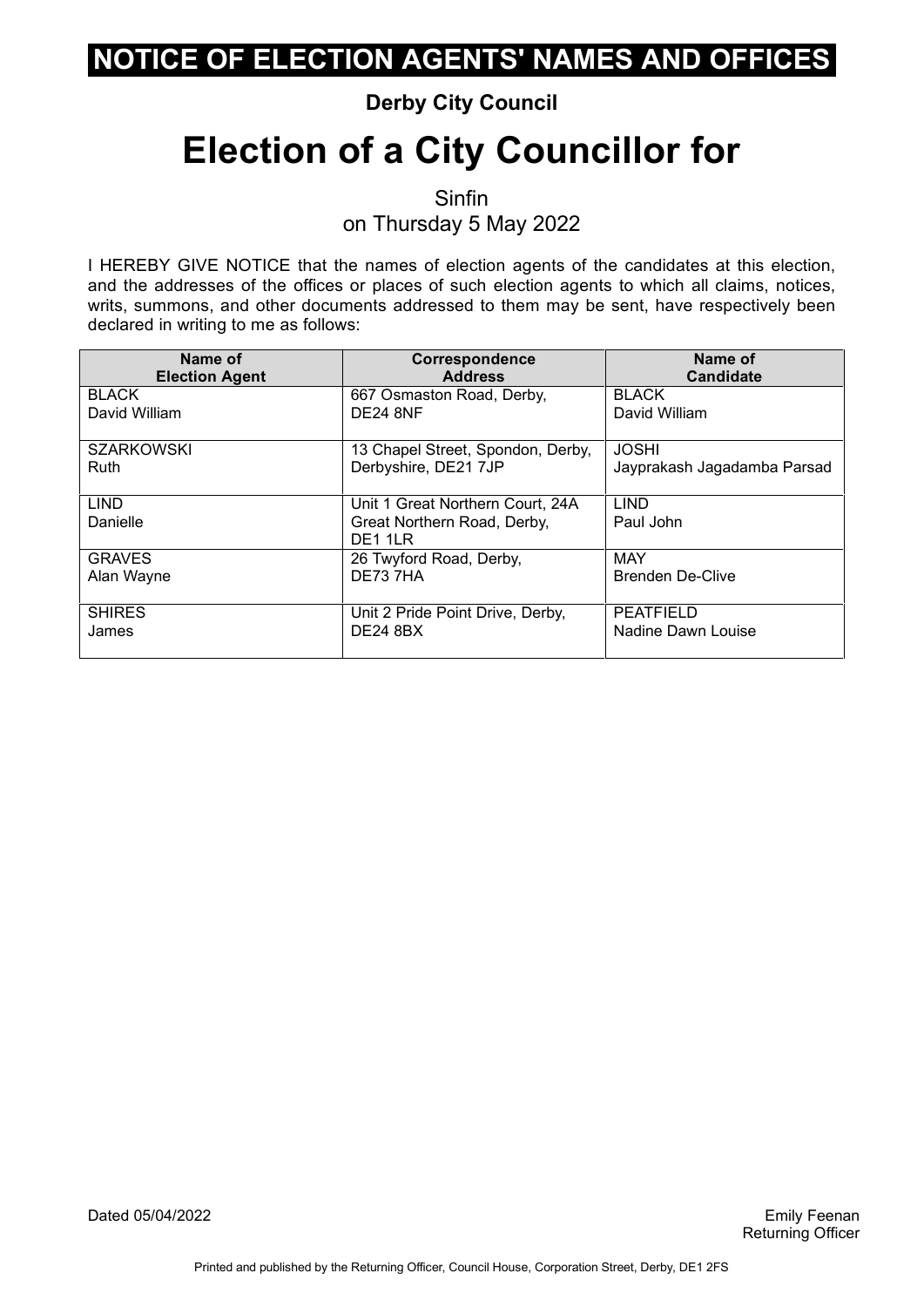#### **Derby City Council**

# **Election of a City Councillor for**

Sinfin

on Thursday 5 May 2022

| Name of                 | <b>Correspondence</b>                                                                  | Name of                     |
|-------------------------|----------------------------------------------------------------------------------------|-----------------------------|
| <b>Election Agent</b>   | <b>Address</b>                                                                         | <b>Candidate</b>            |
| <b>BLACK</b>            | 667 Osmaston Road, Derby,                                                              | <b>BLACK</b>                |
| David William           | DE24 8NF                                                                               | David William               |
| <b>SZARKOWSKI</b>       | 13 Chapel Street, Spondon, Derby,                                                      | <b>JOSHI</b>                |
| Ruth                    | Derbyshire, DE21 7JP                                                                   | Jayprakash Jagadamba Parsad |
| <b>LIND</b><br>Danielle | Unit 1 Great Northern Court, 24A<br>Great Northern Road, Derby,<br>DE <sub>1</sub> 1LR | <b>LIND</b><br>Paul John    |
| <b>GRAVES</b>           | 26 Twyford Road, Derby,                                                                | <b>MAY</b>                  |
| Alan Wayne              | DE737HA                                                                                | <b>Brenden De-Clive</b>     |
| <b>SHIRES</b>           | Unit 2 Pride Point Drive, Derby,                                                       | <b>PEATFIELD</b>            |
| James                   | <b>DE24 8BX</b>                                                                        | Nadine Dawn Louise          |